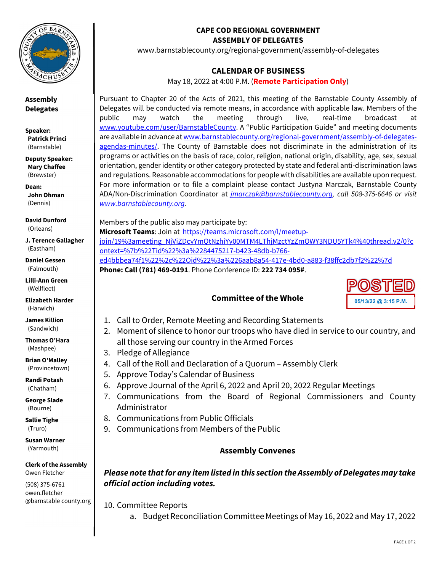

**Assembly Delegates** 

**Speaker: Patrick Princi** (Barnstable)

**Deputy Speaker: Mary Chaffee** (Brewster)

**Dean: John Ohman**  (Dennis)

**David Dunford**  (Orleans)

**J. Terence Gallagher**  (Eastham)

**Daniel Gessen**  (Falmouth)

**Lilli-Ann Green**  (Wellfleet)

**Elizabeth Harder**  (Harwich)

**James Killion**  (Sandwich)

**Thomas O'Hara**  (Mashpee)

**Brian O'Malley**  (Provincetown)

**Randi Potash**  (Chatham)

**George Slade**  (Bourne)

**Sallie Tighe**  (Truro)

**Susan Warner**  (Yarmouth)

**Clerk of the Assembly**  Owen Fletcher

(508) 375-6761 owen.fletcher @barnstable county.org

#### **CAPE COD REGIONAL GOVERNMENT ASSEMBLY OF DELEGATES**

www.barnstablecounty.org/regional-government/assembly-of-delegates

## **CALENDAR OF BUSINESS**

May 18, 2022 at 4:00 P.M. (**Remote Participation Only**)

Pursuant to Chapter 20 of the Acts of 2021, this meeting of the Barnstable County Assembly of Delegates will be conducted via remote means, in accordance with applicable law. Members of the public may watch the meeting through live, real-time broadcast at www.youtube.com/user/BarnstableCounty. A "Public Participation Guide" and meeting documents are available in advance at www.barnstablecounty.org/regional-government/assembly-of-delegatesagendas-minutes/. The County of Barnstable does not discriminate in the administration of its programs or activities on the basis of race, color, religion, national origin, disability, age, sex, sexual orientation, gender identity or other category protected by state and federal anti-discrimination laws and regulations. Reasonable accommodations for people with disabilities are available upon request. For more information or to file a complaint please contact Justyna Marczak, Barnstable County ADA/Non-Discrimination Coordinator at *jmarczak@barnstablecounty.org, call 508-375-6646 or visit www.barnstablecounty.org.*

Members of the public also may participate by: **Microsoft Teams**: Join at https://teams.microsoft.com/l/meetupjoin/19%3ameeting\_NjViZDcyYmQtNzhiYy00MTM4LThjMzctYzZmOWY3NDU5YTk4%40thread.v2/0?c ontext=%7b%22Tid%22%3a%2284475217-b423-48db-b766 ed4bbbea74f1%22%2c%22Oid%22%3a%226aab8a54-417e-4bd0-a883-f38ffc2db7f2%22%7d **Phone: Call (781) 469-0191**. Phone Conference ID: **222 734 095#**.

## **Committee of the Whole**



- 1. Call to Order, Remote Meeting and Recording Statements
- 2. Moment of silence to honor our troops who have died in service to our country, and all those serving our country in the Armed Forces
- 3. Pledge of Allegiance
- 4. Call of the Roll and Declaration of a Quorum Assembly Clerk
- 5. Approve Today's Calendar of Business
- 6. Approve Journal of the April 6, 2022 and April 20, 2022 Regular Meetings
- 7. Communications from the Board of Regional Commissioners and County Administrator
- 8. Communications from Public Officials
- 9. Communications from Members of the Public

## **Assembly Convenes**

# *Please note that for any item listed in this section the Assembly of Delegates may take official action including votes.*

10. Committee Reports

a. Budget Reconciliation Committee Meetings of May 16, 2022 and May 17, 2022